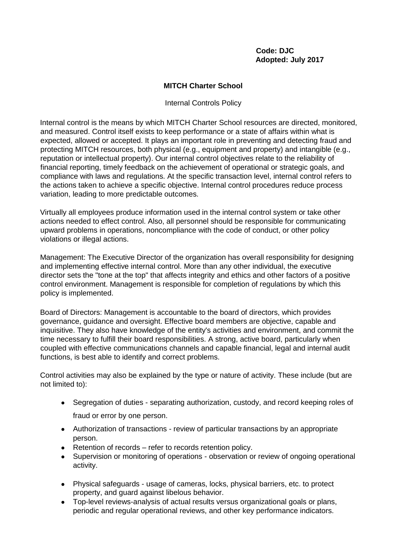## **Code: DJC Adopted: July 2017**

## **MITCH Charter School**

Internal Controls Policy

Internal control is the means by which MITCH Charter School resources are directed, monitored, and measured. Control itself exists to keep performance or a state of affairs within what is expected, allowed or accepted. It plays an important role in preventing and detecting fraud and protecting MITCH resources, both physical (e.g., equipment and property) and intangible (e.g., reputation or intellectual property). Our internal control objectives relate to the reliability of financial reporting, timely feedback on the achievement of operational or strategic goals, and compliance with laws and regulations. At the specific transaction level, internal control refers to the actions taken to achieve a specific objective. Internal control procedures reduce process variation, leading to more predictable outcomes.

Virtually all employees produce information used in the internal control system or take other actions needed to effect control. Also, all personnel should be responsible for communicating upward problems in operations, noncompliance with the code of conduct, or other policy violations or illegal actions.

Management: The Executive Director of the organization has overall responsibility for designing and implementing effective internal control. More than any other individual, the executive director sets the "tone at the top" that affects integrity and ethics and other factors of a positive control environment. Management is responsible for completion of regulations by which this policy is implemented.

Board of Directors: Management is accountable to the board of directors, which provides governance, guidance and oversight. Effective board members are objective, capable and inquisitive. They also have knowledge of the entity's activities and environment, and commit the time necessary to fulfill their board responsibilities. A strong, active board, particularly when coupled with effective communications channels and capable financial, legal and internal audit functions, is best able to identify and correct problems.

Control activities may also be explained by the type or nature of activity. These include (but are not limited to):

- Segregation of duties separating authorization, custody, and record keeping roles of fraud or error by one person.
- Authorization of transactions review of particular transactions by an appropriate person.
- Retention of records refer to records retention policy.
- Supervision or monitoring of operations observation or review of ongoing operational activity.
- Physical safeguards usage of cameras, locks, physical barriers, etc. to protect property, and guard against libelous behavior.
- Top-level reviews-analysis of actual results versus organizational goals or plans, periodic and regular operational reviews, and other key performance indicators.